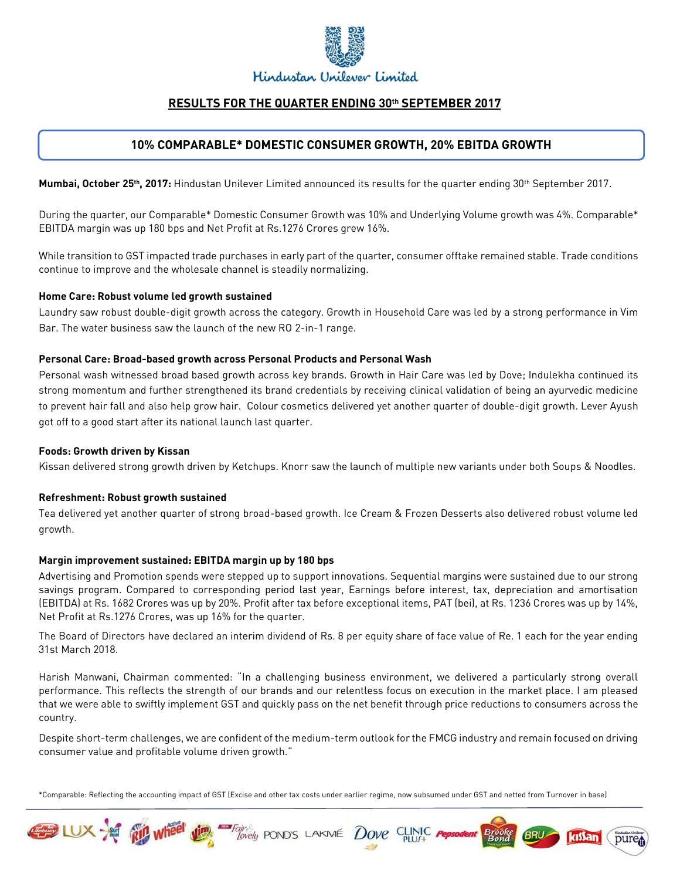

# **RESULTS FOR THE QUARTER ENDING 30th SEPTEMBER 2017**

# **10% COMPARABLE\* DOMESTIC CONSUMER GROWTH, 20% EBITDA GROWTH**

Mumbai, October 25<sup>th</sup>, 2017: Hindustan Unilever Limited announced its results for the quarter ending 30<sup>th</sup> September 2017.

During the quarter, our Comparable\* Domestic Consumer Growth was 10% and Underlying Volume growth was 4%. Comparable\* EBITDA margin was up 180 bps and Net Profit at Rs.1276 Crores grew 16%.

While transition to GST impacted trade purchases in early part of the quarter, consumer offtake remained stable. Trade conditions continue to improve and the wholesale channel is steadily normalizing.

### **Home Care: Robust volume led growth sustained**

Laundry saw robust double-digit growth across the category. Growth in Household Care was led by a strong performance in Vim Bar. The water business saw the launch of the new RO 2-in-1 range.

### **Personal Care: Broad-based growth across Personal Products and Personal Wash**

Personal wash witnessed broad based growth across key brands. Growth in Hair Care was led by Dove; Indulekha continued its strong momentum and further strengthened its brand credentials by receiving clinical validation of being an ayurvedic medicine to prevent hair fall and also help grow hair. Colour cosmetics delivered yet another quarter of double-digit growth. Lever Ayush got off to a good start after its national launch last quarter.

### **Foods: Growth driven by Kissan**

Kissan delivered strong growth driven by Ketchups. Knorr saw the launch of multiple new variants under both Soups & Noodles.

### **Refreshment: Robust growth sustained**

Tea delivered yet another quarter of strong broad-based growth. Ice Cream & Frozen Desserts also delivered robust volume led growth.

### **Margin improvement sustained: EBITDA margin up by 180 bps**

Advertising and Promotion spends were stepped up to support innovations. Sequential margins were sustained due to our strong savings program. Compared to corresponding period last year, Earnings before interest, tax, depreciation and amortisation (EBITDA) at Rs. 1682 Crores was up by 20%. Profit after tax before exceptional items, PAT (bei), at Rs. 1236 Crores was up by 14%, Net Profit at Rs.1276 Crores, was up 16% for the quarter.

The Board of Directors have declared an interim dividend of Rs. 8 per equity share of face value of Re. 1 each for the year ending 31st March 2018.

Harish Manwani, Chairman commented: "In a challenging business environment, we delivered a particularly strong overall performance. This reflects the strength of our brands and our relentless focus on execution in the market place. I am pleased that we were able to swiftly implement GST and quickly pass on the net benefit through price reductions to consumers across the country.

Despite short-term challenges, we are confident of the medium-term outlook for the FMCG industry and remain focused on driving consumer value and profitable volume driven growth."

\*Comparable: Reflecting the accounting impact of GST (Excise and other tax costs under earlier regime, now subsumed under GST and netted from Turnover in base)

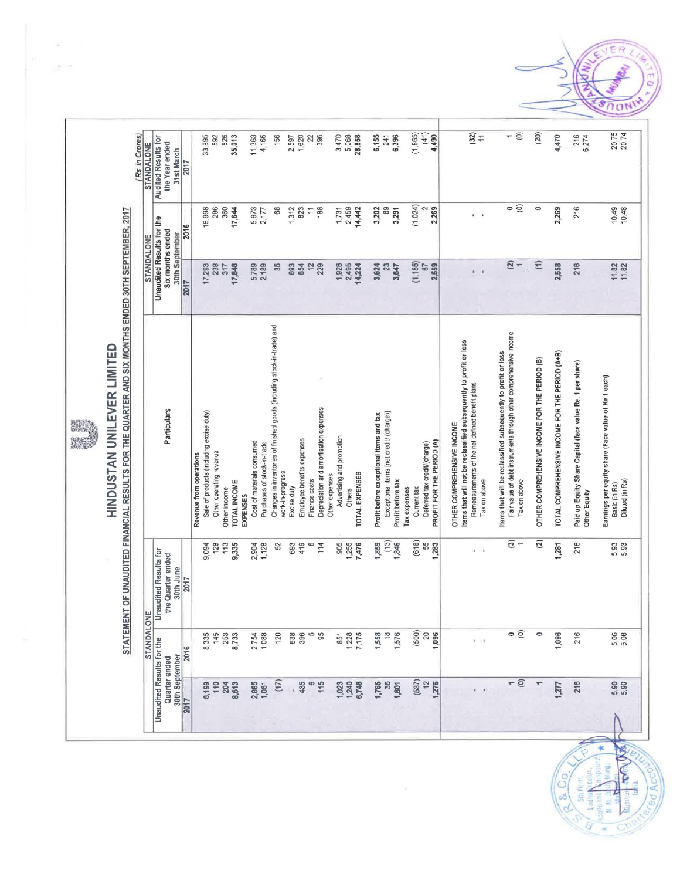# STATEMENT OF UNAUDITED FINANCIAL RESULTS FOR THE QUARTER AND SIX MONTHS ENDED 30TH SEPTEMBER, 2017 HINDUSTAN UNILEVER LIMITED

| <b>STANDALONE</b> | <b>Audited Results for</b>   | the Year ended<br>31st March       | 2017 | 33,895                                                              | 592                     | 526          | 35,013              |          | 11,363                     | 4,166                       | 156                                                                                         | 2,597       | 1,620                      | 22             | 396                                    | 3,470                                       | 5,068  | 28,858         | 6,155                                   | 241                                      | 6,396             | (1,865)      |             | (41)<br>4,490                                             |                                                                                                 | (32)<br>$\overline{1}$                          |              | ÷                                                                                                                                   | $\odot$      | (20)                                          | 4,470                                           | 216<br>6,274                                                              | 20.75<br>2074                                                                           |
|-------------------|------------------------------|------------------------------------|------|---------------------------------------------------------------------|-------------------------|--------------|---------------------|----------|----------------------------|-----------------------------|---------------------------------------------------------------------------------------------|-------------|----------------------------|----------------|----------------------------------------|---------------------------------------------|--------|----------------|-----------------------------------------|------------------------------------------|-------------------|--------------|-------------|-----------------------------------------------------------|-------------------------------------------------------------------------------------------------|-------------------------------------------------|--------------|-------------------------------------------------------------------------------------------------------------------------------------|--------------|-----------------------------------------------|-------------------------------------------------|---------------------------------------------------------------------------|-----------------------------------------------------------------------------------------|
|                   |                              |                                    | 2016 | 16,998                                                              | 286                     | 360          | 17,644              |          | 5,673                      | 2,177                       | 68                                                                                          | 1,312       | 823                        | $\overline{1}$ | 188                                    | 1,731                                       | 2,459  | 14,442         | 3,202                                   | 89                                       | 3,291             | (1, 024)     |             | 2<br>2,269                                                |                                                                                                 | $\mathbf{r}$                                    |              | $\circ$                                                                                                                             |              | $\circ$                                       | 2,269                                           | 216                                                                       | 10.48<br>10.49                                                                          |
| <b>STANDALONE</b> | Unaudited Results for the    | Six months ended<br>30th September | 2017 | 17,293                                                              | 238                     | 317          | 17,848              |          | 5,789                      | 2,189                       | 35                                                                                          | 693         | 854                        | $\frac{1}{2}$  | 229                                    | 1,928                                       | 2,495  | 14,224         | 3,624                                   | $\mathbb{S}^2$                           | 3,647             | (1, 155)     |             | 2,559<br>67                                               |                                                                                                 | ä                                               |              | $\overline{2}$ -                                                                                                                    |              | $\widehat{E}$                                 | 2,568                                           | 216                                                                       | $11.82$<br>$11.82$                                                                      |
|                   |                              | Particulars                        |      | Sale of products (including excise duty)<br>Revenue from operations | Other operating revenue | Other income | <b>TOTAL INCOME</b> | EXPENSES | Cost of materials consumed | Purchases of stock-in-trade | Changes in inventories of finished goods (including stock-in-trade) and<br>work-in-progress | Excise duty | Employee benefits expenses | Finance costs  | Depreciation and amortisation expenses | Advertising and promotion<br>Other expenses | Others | TOTAL EXPENSES | Profit before exceptional items and tax | Exceptional items [net credit/ (charge)] | Profit before tax | Tax expenses | Current tax | PROFIT FOR THE PERIOD (A)<br>Deferred tax credit/(charge) | tems that will not be reclassified subsequently to profit or loss<br>OTHER COMPREHENSIVE INCOME | Remeasurements of the net defined benefit plans | Tax on above | Fair value of debt instruments through other comprehensive income<br>Items that will be reclassified subsequently to profit or loss | Tax on above | OTHER COMPREHENSIVE INCOME FOR THE PERIOD (B) | TOTAL COMPREHENSIVE INCOME FOR THE PERIOD (A+B) | Paid up Equity Share Capital (face value Re. 1 per share)<br>Other Equity | Earnings per equity share (Face value of Re 1 each)<br>Diluted (in Rs)<br>Basic (in Rs) |
| щ                 | <b>Jnaudited Results for</b> | the Quarter ended<br>30th June     | 2017 | 9,094                                                               | 128                     | 113          | 9,335               |          | 2,904                      | 1,128                       | 52                                                                                          | 693         | 419                        | $\circ$        | 114                                    | 905                                         | 1,255  | 7,476          | 1,859                                   | (13)                                     | 1,846             |              | (618)       | 55<br>1,283                                               |                                                                                                 | $\mathbf{I}$                                    |              | $\overline{\mathbf{e}}$                                                                                                             | $-$          | $\overline{a}$                                | 1,281                                           | 216                                                                       | 5 93<br>5 93                                                                            |
| <b>STANDALON</b>  |                              |                                    | 2016 | 8,335                                                               | 145                     | 253          | 8,733               |          | 2,754                      | 1,088                       | 120                                                                                         | 638         | 396                        | 5              | 95                                     | 851                                         | 1,228  | 7,175          | 1,558                                   | $\frac{8}{1}$                            | 1,576             |              | (500)       | $\begin{array}{c} 20 \\ 1,096 \end{array}$                |                                                                                                 | $\ddot{\phantom{1}}$                            |              |                                                                                                                                     | $\circ$      | $\circ$                                       | 1,096                                           | 216                                                                       | 5.06                                                                                    |
|                   | Unaudited Results for the    | 30th September<br>Quarter ended    | 2017 | 8,199                                                               | 110                     | 204          | 8,513               |          | 2,885                      | 1,061                       | (17)                                                                                        |             | 435                        | 6              | 115                                    | 1,023                                       | 1,240  | 6,748          | 1,765                                   | $\frac{8}{3}$                            | 1,801             |              | (537)       | 12<br>1,276                                               |                                                                                                 |                                                 |              | $\overline{\phantom{0}}$                                                                                                            | $\odot$      |                                               | 1,277                                           | 216                                                                       | 5.90                                                                                    |

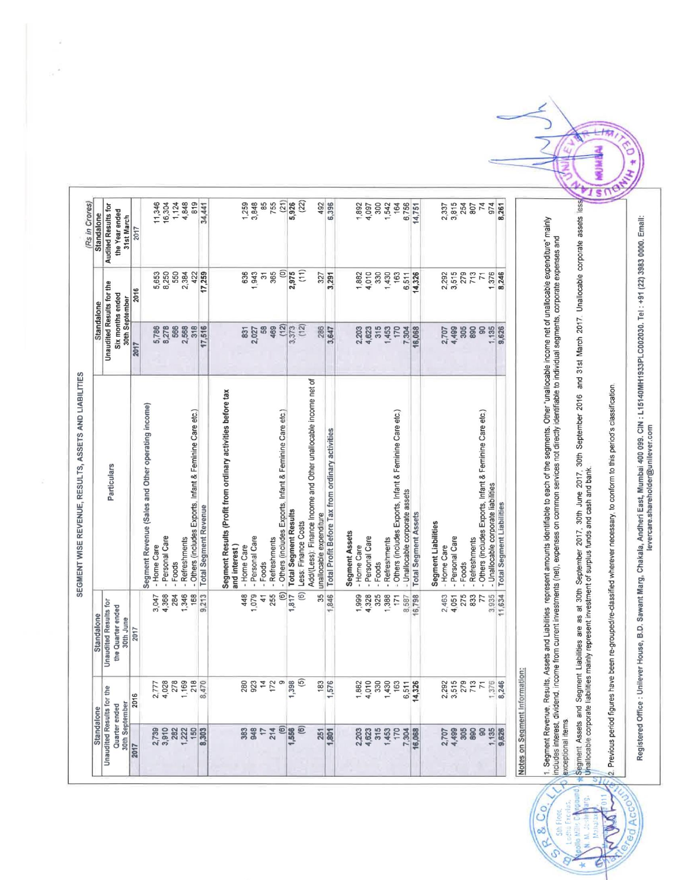| (22)<br>4,848<br>819<br>85<br>(21)<br>11,346<br>16,304<br>1,124<br>3,848<br>755<br>5,926<br>492<br>6,396<br>300<br>3,815<br>74<br>974<br>34,441<br>1,259<br>1,542<br>164<br>6,756<br>254<br>.261<br>1,892<br>4,097<br>14,751<br>2,337<br>807<br><b>Audited Results for</b><br>the Year ended<br>31st March<br>2017<br>(11)<br>ê<br>2,975<br>550<br>1,943<br>365<br>3,515<br>5,653<br>8,250<br>2,384<br>422<br>17,259<br>636<br>4,010<br>330<br>279<br>713<br>8,246<br>$\overline{5}$<br>1,430<br>163<br>14,326<br>2,292<br>1,376<br>3,291<br>1,882<br>6,511<br>327<br>$\overline{7}$<br>Unaudited Results for the<br>2016<br>Six months ended<br>30th September<br>(12)<br>(12)<br>3,373<br>8,278<br>2,568<br>318<br>17,516<br>58<br>469<br>286<br>5,786<br>566<br>3,647<br>315<br>4,499<br>305<br>1,135<br>9,626<br>831<br>2,203<br>4,623<br>1,453<br>170<br>7,304<br>16,068<br>890<br>8<br>2,027<br>2,707<br>2017<br>Add/(Less): Finance Income and Other unallocable income net of<br>Segment Results (Profit from ordinary activities before tax<br>Segment Revenue (Sales and Other operating income)<br>- Others (includes Exports, Infant & Feminine Care etc.)<br>- Others (includes Exports, Infant & Feminine Care etc.)<br>- Others (includes Exports, Infant & Feminine Care etc.)<br>- Others (includes Exports, Infant & Feminine Care etc.)<br>Total Profit Before Tax from ordinary activities<br>Particulars<br>- Unallocable corporate liabilities<br>- Unallocable corporate assets<br><b>Total Segment Liabilities</b><br>Total Segment Revenue<br>Total Segment Results<br><b>Total Segment Assets</b><br>unallocable expenditure<br>Segment Liabilities<br>Less: Finance Costs<br><b>Segment Assets</b><br>- Personal Care<br>- Personal Care<br>- Personal Care<br>- Personal Care<br>- Refreshments<br>- Refreshments<br>- Refreshments<br>- Refreshments<br>- Home Care<br>- Home Care<br>and interest<br>- Home Care<br>- Home Care<br>- Foods<br>- Foods<br>- Foods<br>Foods<br>$\widehat{\Theta}$<br>$\widehat{\mathbf{e}}$<br>1,346<br>255<br>1,079<br>35<br>11,634<br>4,368<br>284<br>168<br>9.213<br>448<br>1,846<br>4,328<br>325<br>1,388<br>16,798<br>275<br>833<br>3,935<br>3,047<br>$\frac{4}{1}$<br>1,817<br>1,999<br>2,463<br>77<br>171<br>4,051<br>8.587<br><b>Unaudited Results for</b><br>the Quarter ended<br>30th June<br>2017<br>$\widehat{5}$<br>$\sim$ $\sigma$<br>1,398<br>S.<br>$\omega$<br>$\sim$ 50<br>$\sigma$<br>$\infty$<br>to<br><b>280</b><br>923<br>4<br>$1,882$<br>$4,010$<br>$4,930$<br>$1,430$<br>$1,63$<br>$\overline{\mathcal{P}}$<br>2,777<br>4,028<br>1,169<br>1,470<br>8,470<br>$\overline{\phantom{m}}$<br>$\boldsymbol{\varphi}$<br>$\overline{ }$<br>Unaudited Results for the<br>Τ<br>$\overline{1}$<br>$\frac{8}{1}$<br>1,57<br>$6,51$<br>14,32<br>$\frac{1.37}{8,24}$<br>2016<br>30th September<br>Quarter ended<br>$\circlede$<br>$\circlede$<br>214<br>1,556<br>3,910<br>1,222<br>150<br>383<br>948<br>315<br>305<br>890<br>8 <sup>o</sup><br>1,135<br>2,739<br>282<br>8,303<br>$\overline{1}$<br>251<br>2,203<br>4,623<br>1,453<br>170<br>7,304<br>4,499<br>16,068<br>2,707<br>9,826<br>1,801<br>2017 | ation: | 1. Segment Revenue, Results, Assets and Liabilities represent amounts identifiable to each of the segments. Other "unallocable income net of unallocable expenditure" mainly<br>income from current investments (net), expenses on common services not directly identifiable to individual segments, corporate expenses and<br>Notes on Segment Inform<br>includes interest, dividend,<br>exceptional items |  |  | Standalone | <b>Standalone</b> |
|-------------------------------------------------------------------------------------------------------------------------------------------------------------------------------------------------------------------------------------------------------------------------------------------------------------------------------------------------------------------------------------------------------------------------------------------------------------------------------------------------------------------------------------------------------------------------------------------------------------------------------------------------------------------------------------------------------------------------------------------------------------------------------------------------------------------------------------------------------------------------------------------------------------------------------------------------------------------------------------------------------------------------------------------------------------------------------------------------------------------------------------------------------------------------------------------------------------------------------------------------------------------------------------------------------------------------------------------------------------------------------------------------------------------------------------------------------------------------------------------------------------------------------------------------------------------------------------------------------------------------------------------------------------------------------------------------------------------------------------------------------------------------------------------------------------------------------------------------------------------------------------------------------------------------------------------------------------------------------------------------------------------------------------------------------------------------------------------------------------------------------------------------------------------------------------------------------------------------------------------------------------------------------------------------------------------------------------------------------------------------------------------------------------------------------------------------------------------------------------------------------------------------------------------------------------------------------------------------------------------------------------------------------------------------------------------------------------------------------------------------------------------------------------------------------------------------------------------------------------------------------------------------------------------------------------------------------------------------------------------------------------------------------------------------------------------------------------------------------------------------------------------------------------------------------|--------|-------------------------------------------------------------------------------------------------------------------------------------------------------------------------------------------------------------------------------------------------------------------------------------------------------------------------------------------------------------------------------------------------------------|--|--|------------|-------------------|
|                                                                                                                                                                                                                                                                                                                                                                                                                                                                                                                                                                                                                                                                                                                                                                                                                                                                                                                                                                                                                                                                                                                                                                                                                                                                                                                                                                                                                                                                                                                                                                                                                                                                                                                                                                                                                                                                                                                                                                                                                                                                                                                                                                                                                                                                                                                                                                                                                                                                                                                                                                                                                                                                                                                                                                                                                                                                                                                                                                                                                                                                                                                                                                               |        |                                                                                                                                                                                                                                                                                                                                                                                                             |  |  |            |                   |
|                                                                                                                                                                                                                                                                                                                                                                                                                                                                                                                                                                                                                                                                                                                                                                                                                                                                                                                                                                                                                                                                                                                                                                                                                                                                                                                                                                                                                                                                                                                                                                                                                                                                                                                                                                                                                                                                                                                                                                                                                                                                                                                                                                                                                                                                                                                                                                                                                                                                                                                                                                                                                                                                                                                                                                                                                                                                                                                                                                                                                                                                                                                                                                               |        |                                                                                                                                                                                                                                                                                                                                                                                                             |  |  |            |                   |
|                                                                                                                                                                                                                                                                                                                                                                                                                                                                                                                                                                                                                                                                                                                                                                                                                                                                                                                                                                                                                                                                                                                                                                                                                                                                                                                                                                                                                                                                                                                                                                                                                                                                                                                                                                                                                                                                                                                                                                                                                                                                                                                                                                                                                                                                                                                                                                                                                                                                                                                                                                                                                                                                                                                                                                                                                                                                                                                                                                                                                                                                                                                                                                               |        |                                                                                                                                                                                                                                                                                                                                                                                                             |  |  |            |                   |
|                                                                                                                                                                                                                                                                                                                                                                                                                                                                                                                                                                                                                                                                                                                                                                                                                                                                                                                                                                                                                                                                                                                                                                                                                                                                                                                                                                                                                                                                                                                                                                                                                                                                                                                                                                                                                                                                                                                                                                                                                                                                                                                                                                                                                                                                                                                                                                                                                                                                                                                                                                                                                                                                                                                                                                                                                                                                                                                                                                                                                                                                                                                                                                               |        |                                                                                                                                                                                                                                                                                                                                                                                                             |  |  |            |                   |
|                                                                                                                                                                                                                                                                                                                                                                                                                                                                                                                                                                                                                                                                                                                                                                                                                                                                                                                                                                                                                                                                                                                                                                                                                                                                                                                                                                                                                                                                                                                                                                                                                                                                                                                                                                                                                                                                                                                                                                                                                                                                                                                                                                                                                                                                                                                                                                                                                                                                                                                                                                                                                                                                                                                                                                                                                                                                                                                                                                                                                                                                                                                                                                               |        |                                                                                                                                                                                                                                                                                                                                                                                                             |  |  |            |                   |
|                                                                                                                                                                                                                                                                                                                                                                                                                                                                                                                                                                                                                                                                                                                                                                                                                                                                                                                                                                                                                                                                                                                                                                                                                                                                                                                                                                                                                                                                                                                                                                                                                                                                                                                                                                                                                                                                                                                                                                                                                                                                                                                                                                                                                                                                                                                                                                                                                                                                                                                                                                                                                                                                                                                                                                                                                                                                                                                                                                                                                                                                                                                                                                               |        |                                                                                                                                                                                                                                                                                                                                                                                                             |  |  |            |                   |
|                                                                                                                                                                                                                                                                                                                                                                                                                                                                                                                                                                                                                                                                                                                                                                                                                                                                                                                                                                                                                                                                                                                                                                                                                                                                                                                                                                                                                                                                                                                                                                                                                                                                                                                                                                                                                                                                                                                                                                                                                                                                                                                                                                                                                                                                                                                                                                                                                                                                                                                                                                                                                                                                                                                                                                                                                                                                                                                                                                                                                                                                                                                                                                               |        |                                                                                                                                                                                                                                                                                                                                                                                                             |  |  |            |                   |
|                                                                                                                                                                                                                                                                                                                                                                                                                                                                                                                                                                                                                                                                                                                                                                                                                                                                                                                                                                                                                                                                                                                                                                                                                                                                                                                                                                                                                                                                                                                                                                                                                                                                                                                                                                                                                                                                                                                                                                                                                                                                                                                                                                                                                                                                                                                                                                                                                                                                                                                                                                                                                                                                                                                                                                                                                                                                                                                                                                                                                                                                                                                                                                               |        |                                                                                                                                                                                                                                                                                                                                                                                                             |  |  |            |                   |
|                                                                                                                                                                                                                                                                                                                                                                                                                                                                                                                                                                                                                                                                                                                                                                                                                                                                                                                                                                                                                                                                                                                                                                                                                                                                                                                                                                                                                                                                                                                                                                                                                                                                                                                                                                                                                                                                                                                                                                                                                                                                                                                                                                                                                                                                                                                                                                                                                                                                                                                                                                                                                                                                                                                                                                                                                                                                                                                                                                                                                                                                                                                                                                               |        |                                                                                                                                                                                                                                                                                                                                                                                                             |  |  |            |                   |
|                                                                                                                                                                                                                                                                                                                                                                                                                                                                                                                                                                                                                                                                                                                                                                                                                                                                                                                                                                                                                                                                                                                                                                                                                                                                                                                                                                                                                                                                                                                                                                                                                                                                                                                                                                                                                                                                                                                                                                                                                                                                                                                                                                                                                                                                                                                                                                                                                                                                                                                                                                                                                                                                                                                                                                                                                                                                                                                                                                                                                                                                                                                                                                               |        |                                                                                                                                                                                                                                                                                                                                                                                                             |  |  |            |                   |
|                                                                                                                                                                                                                                                                                                                                                                                                                                                                                                                                                                                                                                                                                                                                                                                                                                                                                                                                                                                                                                                                                                                                                                                                                                                                                                                                                                                                                                                                                                                                                                                                                                                                                                                                                                                                                                                                                                                                                                                                                                                                                                                                                                                                                                                                                                                                                                                                                                                                                                                                                                                                                                                                                                                                                                                                                                                                                                                                                                                                                                                                                                                                                                               |        |                                                                                                                                                                                                                                                                                                                                                                                                             |  |  |            |                   |
|                                                                                                                                                                                                                                                                                                                                                                                                                                                                                                                                                                                                                                                                                                                                                                                                                                                                                                                                                                                                                                                                                                                                                                                                                                                                                                                                                                                                                                                                                                                                                                                                                                                                                                                                                                                                                                                                                                                                                                                                                                                                                                                                                                                                                                                                                                                                                                                                                                                                                                                                                                                                                                                                                                                                                                                                                                                                                                                                                                                                                                                                                                                                                                               |        |                                                                                                                                                                                                                                                                                                                                                                                                             |  |  |            |                   |
|                                                                                                                                                                                                                                                                                                                                                                                                                                                                                                                                                                                                                                                                                                                                                                                                                                                                                                                                                                                                                                                                                                                                                                                                                                                                                                                                                                                                                                                                                                                                                                                                                                                                                                                                                                                                                                                                                                                                                                                                                                                                                                                                                                                                                                                                                                                                                                                                                                                                                                                                                                                                                                                                                                                                                                                                                                                                                                                                                                                                                                                                                                                                                                               |        |                                                                                                                                                                                                                                                                                                                                                                                                             |  |  |            |                   |
|                                                                                                                                                                                                                                                                                                                                                                                                                                                                                                                                                                                                                                                                                                                                                                                                                                                                                                                                                                                                                                                                                                                                                                                                                                                                                                                                                                                                                                                                                                                                                                                                                                                                                                                                                                                                                                                                                                                                                                                                                                                                                                                                                                                                                                                                                                                                                                                                                                                                                                                                                                                                                                                                                                                                                                                                                                                                                                                                                                                                                                                                                                                                                                               |        |                                                                                                                                                                                                                                                                                                                                                                                                             |  |  |            |                   |
|                                                                                                                                                                                                                                                                                                                                                                                                                                                                                                                                                                                                                                                                                                                                                                                                                                                                                                                                                                                                                                                                                                                                                                                                                                                                                                                                                                                                                                                                                                                                                                                                                                                                                                                                                                                                                                                                                                                                                                                                                                                                                                                                                                                                                                                                                                                                                                                                                                                                                                                                                                                                                                                                                                                                                                                                                                                                                                                                                                                                                                                                                                                                                                               |        |                                                                                                                                                                                                                                                                                                                                                                                                             |  |  |            |                   |
|                                                                                                                                                                                                                                                                                                                                                                                                                                                                                                                                                                                                                                                                                                                                                                                                                                                                                                                                                                                                                                                                                                                                                                                                                                                                                                                                                                                                                                                                                                                                                                                                                                                                                                                                                                                                                                                                                                                                                                                                                                                                                                                                                                                                                                                                                                                                                                                                                                                                                                                                                                                                                                                                                                                                                                                                                                                                                                                                                                                                                                                                                                                                                                               |        |                                                                                                                                                                                                                                                                                                                                                                                                             |  |  |            |                   |
|                                                                                                                                                                                                                                                                                                                                                                                                                                                                                                                                                                                                                                                                                                                                                                                                                                                                                                                                                                                                                                                                                                                                                                                                                                                                                                                                                                                                                                                                                                                                                                                                                                                                                                                                                                                                                                                                                                                                                                                                                                                                                                                                                                                                                                                                                                                                                                                                                                                                                                                                                                                                                                                                                                                                                                                                                                                                                                                                                                                                                                                                                                                                                                               |        |                                                                                                                                                                                                                                                                                                                                                                                                             |  |  |            |                   |
|                                                                                                                                                                                                                                                                                                                                                                                                                                                                                                                                                                                                                                                                                                                                                                                                                                                                                                                                                                                                                                                                                                                                                                                                                                                                                                                                                                                                                                                                                                                                                                                                                                                                                                                                                                                                                                                                                                                                                                                                                                                                                                                                                                                                                                                                                                                                                                                                                                                                                                                                                                                                                                                                                                                                                                                                                                                                                                                                                                                                                                                                                                                                                                               |        |                                                                                                                                                                                                                                                                                                                                                                                                             |  |  |            |                   |
|                                                                                                                                                                                                                                                                                                                                                                                                                                                                                                                                                                                                                                                                                                                                                                                                                                                                                                                                                                                                                                                                                                                                                                                                                                                                                                                                                                                                                                                                                                                                                                                                                                                                                                                                                                                                                                                                                                                                                                                                                                                                                                                                                                                                                                                                                                                                                                                                                                                                                                                                                                                                                                                                                                                                                                                                                                                                                                                                                                                                                                                                                                                                                                               |        |                                                                                                                                                                                                                                                                                                                                                                                                             |  |  |            |                   |
|                                                                                                                                                                                                                                                                                                                                                                                                                                                                                                                                                                                                                                                                                                                                                                                                                                                                                                                                                                                                                                                                                                                                                                                                                                                                                                                                                                                                                                                                                                                                                                                                                                                                                                                                                                                                                                                                                                                                                                                                                                                                                                                                                                                                                                                                                                                                                                                                                                                                                                                                                                                                                                                                                                                                                                                                                                                                                                                                                                                                                                                                                                                                                                               |        |                                                                                                                                                                                                                                                                                                                                                                                                             |  |  |            |                   |
|                                                                                                                                                                                                                                                                                                                                                                                                                                                                                                                                                                                                                                                                                                                                                                                                                                                                                                                                                                                                                                                                                                                                                                                                                                                                                                                                                                                                                                                                                                                                                                                                                                                                                                                                                                                                                                                                                                                                                                                                                                                                                                                                                                                                                                                                                                                                                                                                                                                                                                                                                                                                                                                                                                                                                                                                                                                                                                                                                                                                                                                                                                                                                                               |        |                                                                                                                                                                                                                                                                                                                                                                                                             |  |  |            |                   |
|                                                                                                                                                                                                                                                                                                                                                                                                                                                                                                                                                                                                                                                                                                                                                                                                                                                                                                                                                                                                                                                                                                                                                                                                                                                                                                                                                                                                                                                                                                                                                                                                                                                                                                                                                                                                                                                                                                                                                                                                                                                                                                                                                                                                                                                                                                                                                                                                                                                                                                                                                                                                                                                                                                                                                                                                                                                                                                                                                                                                                                                                                                                                                                               |        |                                                                                                                                                                                                                                                                                                                                                                                                             |  |  |            |                   |
|                                                                                                                                                                                                                                                                                                                                                                                                                                                                                                                                                                                                                                                                                                                                                                                                                                                                                                                                                                                                                                                                                                                                                                                                                                                                                                                                                                                                                                                                                                                                                                                                                                                                                                                                                                                                                                                                                                                                                                                                                                                                                                                                                                                                                                                                                                                                                                                                                                                                                                                                                                                                                                                                                                                                                                                                                                                                                                                                                                                                                                                                                                                                                                               |        |                                                                                                                                                                                                                                                                                                                                                                                                             |  |  |            |                   |
|                                                                                                                                                                                                                                                                                                                                                                                                                                                                                                                                                                                                                                                                                                                                                                                                                                                                                                                                                                                                                                                                                                                                                                                                                                                                                                                                                                                                                                                                                                                                                                                                                                                                                                                                                                                                                                                                                                                                                                                                                                                                                                                                                                                                                                                                                                                                                                                                                                                                                                                                                                                                                                                                                                                                                                                                                                                                                                                                                                                                                                                                                                                                                                               |        |                                                                                                                                                                                                                                                                                                                                                                                                             |  |  |            |                   |
|                                                                                                                                                                                                                                                                                                                                                                                                                                                                                                                                                                                                                                                                                                                                                                                                                                                                                                                                                                                                                                                                                                                                                                                                                                                                                                                                                                                                                                                                                                                                                                                                                                                                                                                                                                                                                                                                                                                                                                                                                                                                                                                                                                                                                                                                                                                                                                                                                                                                                                                                                                                                                                                                                                                                                                                                                                                                                                                                                                                                                                                                                                                                                                               |        |                                                                                                                                                                                                                                                                                                                                                                                                             |  |  |            |                   |
|                                                                                                                                                                                                                                                                                                                                                                                                                                                                                                                                                                                                                                                                                                                                                                                                                                                                                                                                                                                                                                                                                                                                                                                                                                                                                                                                                                                                                                                                                                                                                                                                                                                                                                                                                                                                                                                                                                                                                                                                                                                                                                                                                                                                                                                                                                                                                                                                                                                                                                                                                                                                                                                                                                                                                                                                                                                                                                                                                                                                                                                                                                                                                                               |        |                                                                                                                                                                                                                                                                                                                                                                                                             |  |  |            |                   |
|                                                                                                                                                                                                                                                                                                                                                                                                                                                                                                                                                                                                                                                                                                                                                                                                                                                                                                                                                                                                                                                                                                                                                                                                                                                                                                                                                                                                                                                                                                                                                                                                                                                                                                                                                                                                                                                                                                                                                                                                                                                                                                                                                                                                                                                                                                                                                                                                                                                                                                                                                                                                                                                                                                                                                                                                                                                                                                                                                                                                                                                                                                                                                                               |        |                                                                                                                                                                                                                                                                                                                                                                                                             |  |  |            |                   |
|                                                                                                                                                                                                                                                                                                                                                                                                                                                                                                                                                                                                                                                                                                                                                                                                                                                                                                                                                                                                                                                                                                                                                                                                                                                                                                                                                                                                                                                                                                                                                                                                                                                                                                                                                                                                                                                                                                                                                                                                                                                                                                                                                                                                                                                                                                                                                                                                                                                                                                                                                                                                                                                                                                                                                                                                                                                                                                                                                                                                                                                                                                                                                                               |        |                                                                                                                                                                                                                                                                                                                                                                                                             |  |  |            |                   |
|                                                                                                                                                                                                                                                                                                                                                                                                                                                                                                                                                                                                                                                                                                                                                                                                                                                                                                                                                                                                                                                                                                                                                                                                                                                                                                                                                                                                                                                                                                                                                                                                                                                                                                                                                                                                                                                                                                                                                                                                                                                                                                                                                                                                                                                                                                                                                                                                                                                                                                                                                                                                                                                                                                                                                                                                                                                                                                                                                                                                                                                                                                                                                                               |        |                                                                                                                                                                                                                                                                                                                                                                                                             |  |  |            |                   |
|                                                                                                                                                                                                                                                                                                                                                                                                                                                                                                                                                                                                                                                                                                                                                                                                                                                                                                                                                                                                                                                                                                                                                                                                                                                                                                                                                                                                                                                                                                                                                                                                                                                                                                                                                                                                                                                                                                                                                                                                                                                                                                                                                                                                                                                                                                                                                                                                                                                                                                                                                                                                                                                                                                                                                                                                                                                                                                                                                                                                                                                                                                                                                                               |        |                                                                                                                                                                                                                                                                                                                                                                                                             |  |  |            |                   |
|                                                                                                                                                                                                                                                                                                                                                                                                                                                                                                                                                                                                                                                                                                                                                                                                                                                                                                                                                                                                                                                                                                                                                                                                                                                                                                                                                                                                                                                                                                                                                                                                                                                                                                                                                                                                                                                                                                                                                                                                                                                                                                                                                                                                                                                                                                                                                                                                                                                                                                                                                                                                                                                                                                                                                                                                                                                                                                                                                                                                                                                                                                                                                                               |        |                                                                                                                                                                                                                                                                                                                                                                                                             |  |  |            |                   |
|                                                                                                                                                                                                                                                                                                                                                                                                                                                                                                                                                                                                                                                                                                                                                                                                                                                                                                                                                                                                                                                                                                                                                                                                                                                                                                                                                                                                                                                                                                                                                                                                                                                                                                                                                                                                                                                                                                                                                                                                                                                                                                                                                                                                                                                                                                                                                                                                                                                                                                                                                                                                                                                                                                                                                                                                                                                                                                                                                                                                                                                                                                                                                                               |        |                                                                                                                                                                                                                                                                                                                                                                                                             |  |  |            |                   |
|                                                                                                                                                                                                                                                                                                                                                                                                                                                                                                                                                                                                                                                                                                                                                                                                                                                                                                                                                                                                                                                                                                                                                                                                                                                                                                                                                                                                                                                                                                                                                                                                                                                                                                                                                                                                                                                                                                                                                                                                                                                                                                                                                                                                                                                                                                                                                                                                                                                                                                                                                                                                                                                                                                                                                                                                                                                                                                                                                                                                                                                                                                                                                                               |        |                                                                                                                                                                                                                                                                                                                                                                                                             |  |  |            |                   |
|                                                                                                                                                                                                                                                                                                                                                                                                                                                                                                                                                                                                                                                                                                                                                                                                                                                                                                                                                                                                                                                                                                                                                                                                                                                                                                                                                                                                                                                                                                                                                                                                                                                                                                                                                                                                                                                                                                                                                                                                                                                                                                                                                                                                                                                                                                                                                                                                                                                                                                                                                                                                                                                                                                                                                                                                                                                                                                                                                                                                                                                                                                                                                                               |        |                                                                                                                                                                                                                                                                                                                                                                                                             |  |  |            |                   |
|                                                                                                                                                                                                                                                                                                                                                                                                                                                                                                                                                                                                                                                                                                                                                                                                                                                                                                                                                                                                                                                                                                                                                                                                                                                                                                                                                                                                                                                                                                                                                                                                                                                                                                                                                                                                                                                                                                                                                                                                                                                                                                                                                                                                                                                                                                                                                                                                                                                                                                                                                                                                                                                                                                                                                                                                                                                                                                                                                                                                                                                                                                                                                                               |        |                                                                                                                                                                                                                                                                                                                                                                                                             |  |  |            |                   |
|                                                                                                                                                                                                                                                                                                                                                                                                                                                                                                                                                                                                                                                                                                                                                                                                                                                                                                                                                                                                                                                                                                                                                                                                                                                                                                                                                                                                                                                                                                                                                                                                                                                                                                                                                                                                                                                                                                                                                                                                                                                                                                                                                                                                                                                                                                                                                                                                                                                                                                                                                                                                                                                                                                                                                                                                                                                                                                                                                                                                                                                                                                                                                                               |        |                                                                                                                                                                                                                                                                                                                                                                                                             |  |  |            |                   |
|                                                                                                                                                                                                                                                                                                                                                                                                                                                                                                                                                                                                                                                                                                                                                                                                                                                                                                                                                                                                                                                                                                                                                                                                                                                                                                                                                                                                                                                                                                                                                                                                                                                                                                                                                                                                                                                                                                                                                                                                                                                                                                                                                                                                                                                                                                                                                                                                                                                                                                                                                                                                                                                                                                                                                                                                                                                                                                                                                                                                                                                                                                                                                                               |        |                                                                                                                                                                                                                                                                                                                                                                                                             |  |  |            |                   |
|                                                                                                                                                                                                                                                                                                                                                                                                                                                                                                                                                                                                                                                                                                                                                                                                                                                                                                                                                                                                                                                                                                                                                                                                                                                                                                                                                                                                                                                                                                                                                                                                                                                                                                                                                                                                                                                                                                                                                                                                                                                                                                                                                                                                                                                                                                                                                                                                                                                                                                                                                                                                                                                                                                                                                                                                                                                                                                                                                                                                                                                                                                                                                                               |        |                                                                                                                                                                                                                                                                                                                                                                                                             |  |  |            |                   |
|                                                                                                                                                                                                                                                                                                                                                                                                                                                                                                                                                                                                                                                                                                                                                                                                                                                                                                                                                                                                                                                                                                                                                                                                                                                                                                                                                                                                                                                                                                                                                                                                                                                                                                                                                                                                                                                                                                                                                                                                                                                                                                                                                                                                                                                                                                                                                                                                                                                                                                                                                                                                                                                                                                                                                                                                                                                                                                                                                                                                                                                                                                                                                                               |        |                                                                                                                                                                                                                                                                                                                                                                                                             |  |  |            |                   |



 $/2$ . Previous period figures have been re-grouped/re-classified wherever necessary, to conform to this period's classification.

Registered Office : Unilever House, B.D. Sawant Marg, Chakala, Andheri East, Mumbai 400 099. CIN : L15140MH1933PLC002030. Tel : +91 (22) 3983 0000. Email:<br>Ieverced Office : Unilever House, B.D. Sawant Marg, Chakala, Andhe

**Pd Acc** 

C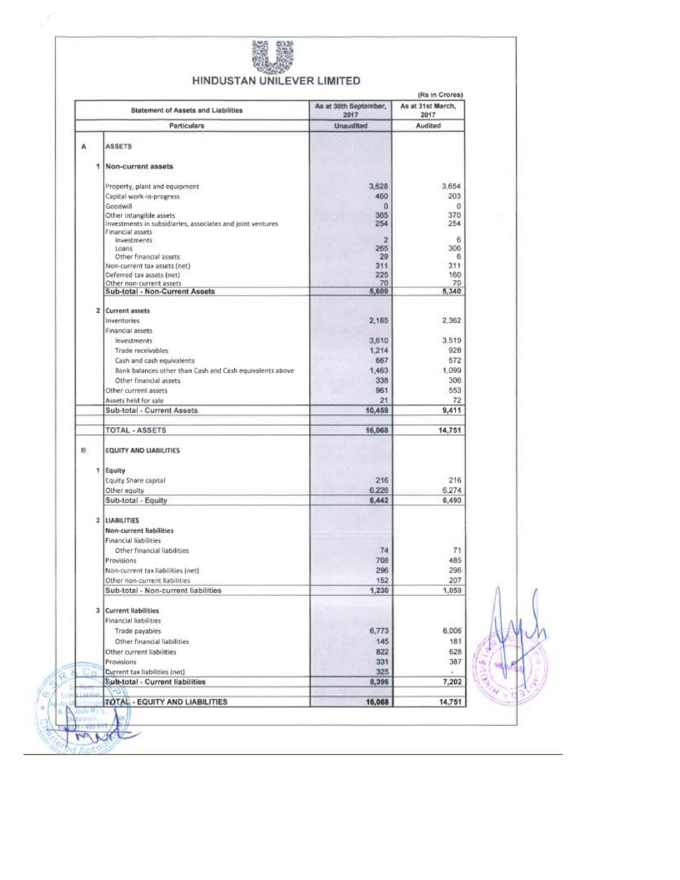

ä,

*<u>DHACCOU</u>* 

# HINDUSTAN UNILEVER LIMITED

|                | Statement of Assets and Liabilities                                            | As at 30th September,<br>2017 | As at 31st March,<br>2017 |
|----------------|--------------------------------------------------------------------------------|-------------------------------|---------------------------|
|                | <b>Particulars</b>                                                             | Unaudited                     | Audited                   |
| А              | <b>ASSETS</b>                                                                  |                               |                           |
|                |                                                                                |                               |                           |
| 1              | Non-current assets                                                             |                               |                           |
|                | Property, plant and equipment                                                  | 3,628                         | 3.654                     |
|                | Capital work-in-progress                                                       | 460                           | 203                       |
|                | Goodwill                                                                       | 0                             | 0                         |
|                | Other intangible assets                                                        | 365                           | 370                       |
|                | Investments in subsidiaries, associates and joint ventures<br>Financial assets | 254                           | 254                       |
|                | investments                                                                    | 2                             | 6                         |
|                | Loans                                                                          | 265                           | 306                       |
|                | Other financial assets                                                         | 29                            | 6                         |
|                | Non-current tax assets (net)                                                   | 311                           | 311                       |
|                | Deferred tax assets (net)                                                      | 225                           | 160                       |
|                | Other non-current assets                                                       | 70                            | 70                        |
|                | Sub-total - Non-Current Assets                                                 | 5,609                         | 5,340                     |
|                | 2 Current assets                                                               |                               |                           |
|                | Inventories                                                                    | 2,185                         | 2.362                     |
|                | Financial assets                                                               |                               |                           |
|                | Investments                                                                    | 3,610                         | 3.519                     |
|                | Trade receivables                                                              | 1,214                         | 928                       |
|                | Cash and cash equivalents                                                      | 667                           | 572                       |
|                | Bank balances other than Cash and Cash equivalents above                       | 1,463                         | 1.099                     |
|                | Other financial assets                                                         | 338                           | 306                       |
|                | Other current assets                                                           | 961                           | 553                       |
|                | Assets held for sale                                                           | 21                            | 72                        |
|                | Sub-total - Current Assets                                                     | 10,459                        | 9,411                     |
|                | <b>TOTAL - ASSETS</b>                                                          | 16,068                        | 14,751                    |
|                |                                                                                |                               |                           |
| B.             | <b>EQUITY AND LIABILITIES</b>                                                  |                               |                           |
|                | 1 Equity                                                                       |                               |                           |
|                | Equity Share capital                                                           | 216                           | 216                       |
|                | Other equity                                                                   | 6.226                         | 6,274                     |
|                | Sub-total - Equity                                                             | 6,442                         | 6,490                     |
|                |                                                                                |                               |                           |
|                | 2 LIABILITIES                                                                  |                               |                           |
|                | Non-current liabilities                                                        |                               |                           |
|                | Financial liabilities                                                          |                               |                           |
|                | Other financial liabilities                                                    | 74                            | 71                        |
|                | Provisions                                                                     | 708                           | 485                       |
|                | Non-current tax liabilities (net)                                              | 296                           | 296                       |
|                | Other non-current liabilities                                                  | 152                           | 207                       |
|                | Sub-total - Non-current liabilities                                            | 1,230                         | 1,059                     |
|                |                                                                                |                               |                           |
| 3 <sub>1</sub> | <b>Current liabilities</b>                                                     |                               |                           |
|                | Financial liabilities                                                          |                               |                           |
|                | Trade payables                                                                 | 6,773                         | 6.006                     |
|                | Other financial liabilities                                                    | 145                           | 181                       |
|                | Other current liabilities                                                      | 822                           | 628                       |
|                | Provisions                                                                     | 331                           | 387                       |
|                | Current tax liabilities (net)                                                  | 325                           |                           |
|                | Sub-total - Current liabilities                                                | 8,396                         | 7,202                     |
|                |                                                                                | 16,068                        | 14,751                    |
|                | TOTAL - EQUITY AND LIABILITIES                                                 |                               |                           |